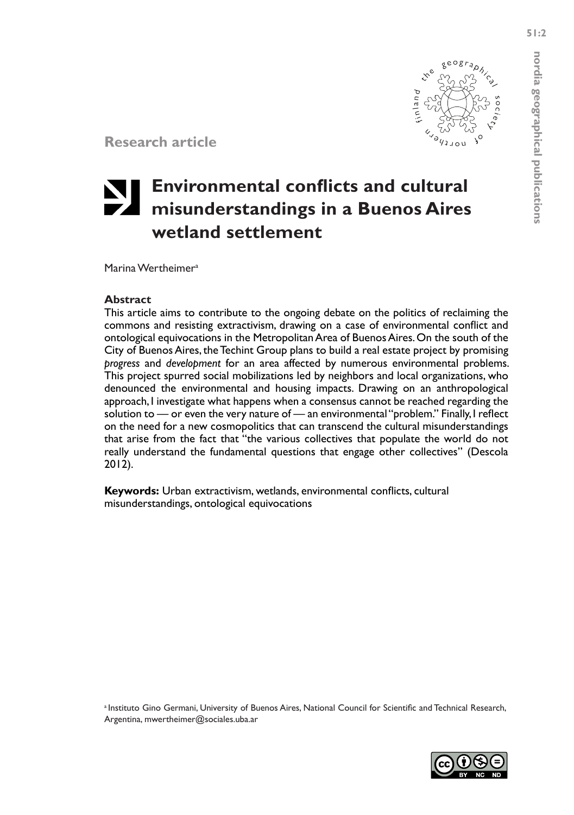**nordia geographical publications**

nordia geographical publications

**Research article**

# **Environmental conflicts and cultural misunderstandings in a Buenos Aires wetland settlement**

Marina Wertheimera

#### **Abstract**

This article aims to contribute to the ongoing debate on the politics of reclaiming the commons and resisting extractivism, drawing on a case of environmental conflict and ontological equivocations in the Metropolitan Area of Buenos Aires. On the south of the City of Buenos Aires, the Techint Group plans to build a real estate project by promising *progress* and *development* for an area affected by numerous environmental problems. This project spurred social mobilizations led by neighbors and local organizations, who denounced the environmental and housing impacts. Drawing on an anthropological approach, I investigate what happens when a consensus cannot be reached regarding the solution to — or even the very nature of — an environmental "problem." Finally, I reflect on the need for a new cosmopolitics that can transcend the cultural misunderstandings that arise from the fact that "the various collectives that populate the world do not really understand the fundamental questions that engage other collectives" (Descola 2012).

**Keywords:** Urban extractivism, wetlands, environmental conflicts, cultural misunderstandings, ontological equivocations

a Instituto Gino Germani, University of Buenos Aires, National Council for Scientific and Technical Research, Argentina, mwertheimer@sociales.uba.ar

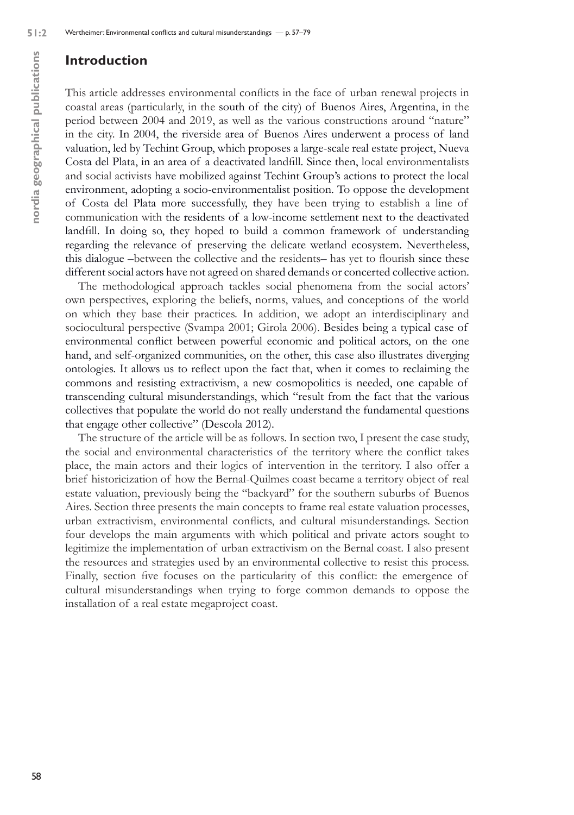# **Introduction**

This article addresses environmental conflicts in the face of urban renewal projects in coastal areas (particularly, in the south of the city) of Buenos Aires, Argentina, in the period between 2004 and 2019, as well as the various constructions around "nature" in the city. In 2004, the riverside area of Buenos Aires underwent a process of land valuation, led by Techint Group, which proposes a large-scale real estate project, Nueva Costa del Plata, in an area of a deactivated landfill. Since then, local environmentalists and social activists have mobilized against Techint Group's actions to protect the local environment, adopting a socio-environmentalist position. To oppose the development of Costa del Plata more successfully, they have been trying to establish a line of communication with the residents of a low-income settlement next to the deactivated landfill. In doing so, they hoped to build a common framework of understanding regarding the relevance of preserving the delicate wetland ecosystem. Nevertheless, this dialogue –between the collective and the residents– has yet to flourish since these different social actors have not agreed on shared demands or concerted collective action.

The methodological approach tackles social phenomena from the social actors' own perspectives, exploring the beliefs, norms, values, and conceptions of the world on which they base their practices. In addition, we adopt an interdisciplinary and sociocultural perspective (Svampa 2001; Girola 2006). Besides being a typical case of environmental conflict between powerful economic and political actors, on the one hand, and self-organized communities, on the other, this case also illustrates diverging ontologies. It allows us to reflect upon the fact that, when it comes to reclaiming the commons and resisting extractivism, a new cosmopolitics is needed, one capable of transcending cultural misunderstandings, which "result from the fact that the various collectives that populate the world do not really understand the fundamental questions that engage other collective" (Descola 2012).

The structure of the article will be as follows. In section two, I present the case study, the social and environmental characteristics of the territory where the conflict takes place, the main actors and their logics of intervention in the territory. I also offer a brief historicization of how the Bernal-Quilmes coast became a territory object of real estate valuation, previously being the "backyard" for the southern suburbs of Buenos Aires. Section three presents the main concepts to frame real estate valuation processes, urban extractivism, environmental conflicts, and cultural misunderstandings. Section four develops the main arguments with which political and private actors sought to legitimize the implementation of urban extractivism on the Bernal coast. I also present the resources and strategies used by an environmental collective to resist this process. Finally, section five focuses on the particularity of this conflict: the emergence of cultural misunderstandings when trying to forge common demands to oppose the installation of a real estate megaproject coast.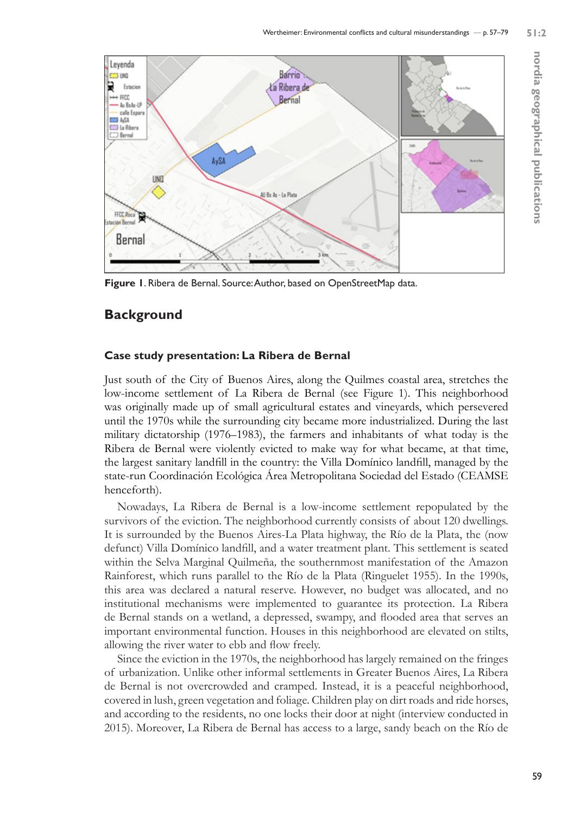

**Figure 1**. Ribera de Bernal. Source: Author, based on OpenStreetMap data.

# **Background**

# **Case study presentation: La Ribera de Bernal**

Just south of the City of Buenos Aires, along the Quilmes coastal area, stretches the low-income settlement of La Ribera de Bernal (see Figure 1). This neighborhood was originally made up of small agricultural estates and vineyards, which persevered until the 1970s while the surrounding city became more industrialized. During the last military dictatorship (1976–1983), the farmers and inhabitants of what today is the Ribera de Bernal were violently evicted to make way for what became, at that time, the largest sanitary landfill in the country: the Villa Domínico landfill, managed by the state-run Coordinación Ecológica Área Metropolitana Sociedad del Estado (CEAMSE henceforth).

Nowadays, La Ribera de Bernal is a low-income settlement repopulated by the survivors of the eviction. The neighborhood currently consists of about 120 dwellings. It is surrounded by the Buenos Aires-La Plata highway, the Río de la Plata, the (now defunct) Villa Domínico landfill, and a water treatment plant. This settlement is seated within the Selva Marginal Quilmeña*,* the southernmost manifestation of the Amazon Rainforest, which runs parallel to the Río de la Plata (Ringuelet 1955). In the 1990s, this area was declared a natural reserve. However, no budget was allocated, and no institutional mechanisms were implemented to guarantee its protection. La Ribera de Bernal stands on a wetland, a depressed, swampy, and flooded area that serves an important environmental function. Houses in this neighborhood are elevated on stilts, allowing the river water to ebb and flow freely.

Since the eviction in the 1970s, the neighborhood has largely remained on the fringes of urbanization. Unlike other informal settlements in Greater Buenos Aires, La Ribera de Bernal is not overcrowded and cramped. Instead, it is a peaceful neighborhood, covered in lush, green vegetation and foliage. Children play on dirt roads and ride horses, and according to the residents, no one locks their door at night (interview conducted in 2015). Moreover, La Ribera de Bernal has access to a large, sandy beach on the Río de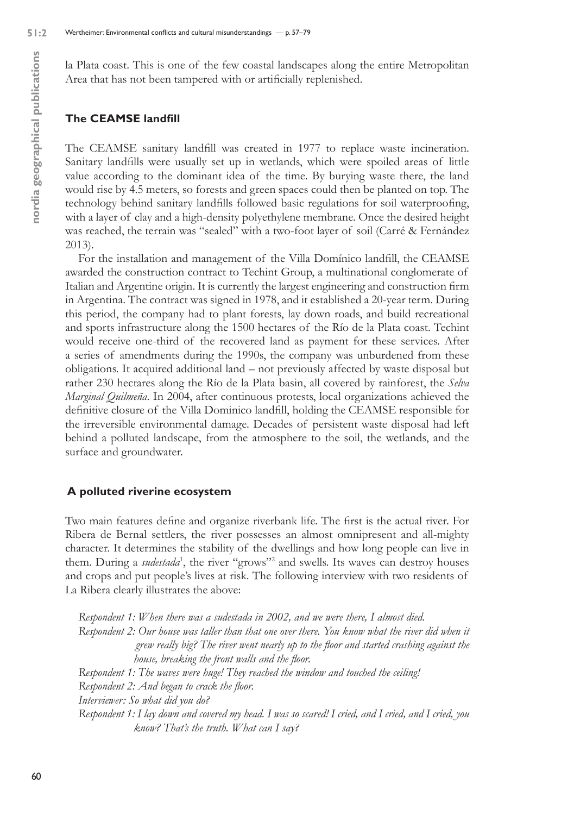la Plata coast. This is one of the few coastal landscapes along the entire Metropolitan Area that has not been tampered with or artificially replenished.

#### **The CEAMSE landfill**

The CEAMSE sanitary landfill was created in 1977 to replace waste incineration. Sanitary landfills were usually set up in wetlands, which were spoiled areas of little value according to the dominant idea of the time. By burying waste there, the land would rise by 4.5 meters, so forests and green spaces could then be planted on top. The technology behind sanitary landfills followed basic regulations for soil waterproofing, with a layer of clay and a high-density polyethylene membrane. Once the desired height was reached, the terrain was "sealed" with a two-foot layer of soil (Carré & Fernández 2013).

For the installation and management of the Villa Domínico landfill, the CEAMSE awarded the construction contract to Techint Group, a multinational conglomerate of Italian and Argentine origin. It is currently the largest engineering and construction firm in Argentina. The contract was signed in 1978, and it established a 20-year term. During this period, the company had to plant forests, lay down roads, and build recreational and sports infrastructure along the 1500 hectares of the Río de la Plata coast. Techint would receive one-third of the recovered land as payment for these services. After a series of amendments during the 1990s, the company was unburdened from these obligations. It acquired additional land – not previously affected by waste disposal but rather 230 hectares along the Río de la Plata basin, all covered by rainforest, the *Selva Marginal Quilmeña*. In 2004, after continuous protests, local organizations achieved the definitive closure of the Villa Dominico landfill, holding the CEAMSE responsible for the irreversible environmental damage. Decades of persistent waste disposal had left behind a polluted landscape, from the atmosphere to the soil, the wetlands, and the surface and groundwater.

#### **A polluted riverine ecosystem**

Two main features define and organize riverbank life. The first is the actual river. For Ribera de Bernal settlers, the river possesses an almost omnipresent and all-mighty character. It determines the stability of the dwellings and how long people can live in them. During a *sudestada*<sup>1</sup>, the river "grows"<sup>2</sup> and swells. Its waves can destroy houses and crops and put people's lives at risk. The following interview with two residents of La Ribera clearly illustrates the above:

*Respondent 1: When there was a sudestada in 2002, and we were there, I almost died. Respondent 2: Our house was taller than that one over there. You know what the river did when it grew really big? The river went nearly up to the floor and started crashing against the house, breaking the front walls and the floor. Respondent 1: The waves were huge! They reached the window and touched the ceiling! Respondent 2: And began to crack the floor. Interviewer: So what did you do? Respondent 1: I lay down and covered my head. I was so scared! I cried, and I cried, and I cried, you know? That's the truth. What can I say?*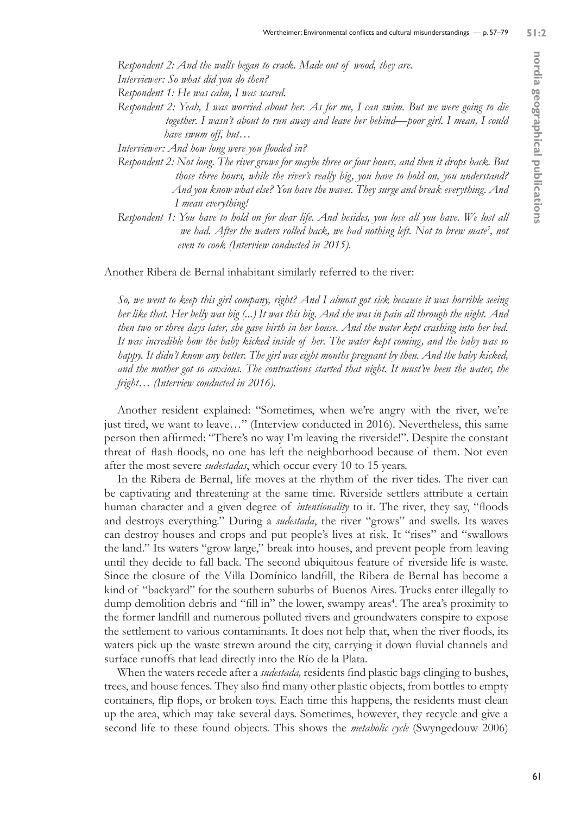*Respondent 2: And the walls began to crack. Made out of wood, they are.* 

*Interviewer: So what did you do then?* 

*Respondent 1: He was calm, I was scared.* 

*Respondent 2: Yeah, I was worried about her. As for me, I can swim. But we were going to die together. I wasn't about to run away and leave her behind—poor girl. I mean, I could have swum off, but…* 

*Interviewer: And how long were you flooded in?* 

- *Respondent 2: Not long. The river grows for maybe three or four hours, and then it drops back. But those three hours, while the river's really big, you have to hold on, you understand? And you know what else? You have the waves. They surge and break everything. And I mean everything!*
- *Respondent 1: You have to hold on for dear life. And besides, you lose all you have. We lost all* we had. After the waters rolled back, we had nothing left. Not to brew mate<sup>3</sup>, not  *even to cook (Interview conducted in 2015).*

Another Ribera de Bernal inhabitant similarly referred to the river:

*So, we went to keep this girl company, right? And I almost got sick because it was horrible seeing her like that. Her belly was big (...) It was this big. And she was in pain all through the night. And then two or three days later, she gave birth in her house. And the water kept crashing into her bed. It was incredible how the baby kicked inside of her. The water kept coming, and the baby was so happy. It didn't know any better. The girl was eight months pregnant by then. And the baby kicked, and the mother got so anxious. The contractions started that night. It must've been the water, the fright… (Interview conducted in 2016).* 

Another resident explained: "Sometimes, when we're angry with the river, we're just tired, we want to leave…" (Interview conducted in 2016). Nevertheless, this same person then affirmed: "There's no way I'm leaving the riverside!". Despite the constant threat of flash floods, no one has left the neighborhood because of them. Not even after the most severe *sudestadas*, which occur every 10 to 15 years.

In the Ribera de Bernal, life moves at the rhythm of the river tides. The river can be captivating and threatening at the same time. Riverside settlers attribute a certain human character and a given degree of *intentionality* to it. The river, they say, "floods and destroys everything." During a *sudestada*, the river "grows" and swells. Its waves can destroy houses and crops and put people's lives at risk. It "rises" and "swallows the land." Its waters "grow large," break into houses, and prevent people from leaving until they decide to fall back. The second ubiquitous feature of riverside life is waste. Since the closure of the Villa Domínico landfill, the Ribera de Bernal has become a kind of "backyard" for the southern suburbs of Buenos Aires. Trucks enter illegally to dump demolition debris and "fill in" the lower, swampy areas<sup>4</sup>. The area's proximity to the former landfill and numerous polluted rivers and groundwaters conspire to expose the settlement to various contaminants. It does not help that, when the river floods, its waters pick up the waste strewn around the city, carrying it down fluvial channels and surface runoffs that lead directly into the Río de la Plata.

When the waters recede after a *sudestada,* residents find plastic bags clinging to bushes, trees, and house fences. They also find many other plastic objects, from bottles to empty containers, flip flops, or broken toys. Each time this happens, the residents must clean up the area, which may take several days. Sometimes, however, they recycle and give a second life to these found objects. This shows the *metabolic cycle* (Swyngedouw 2006)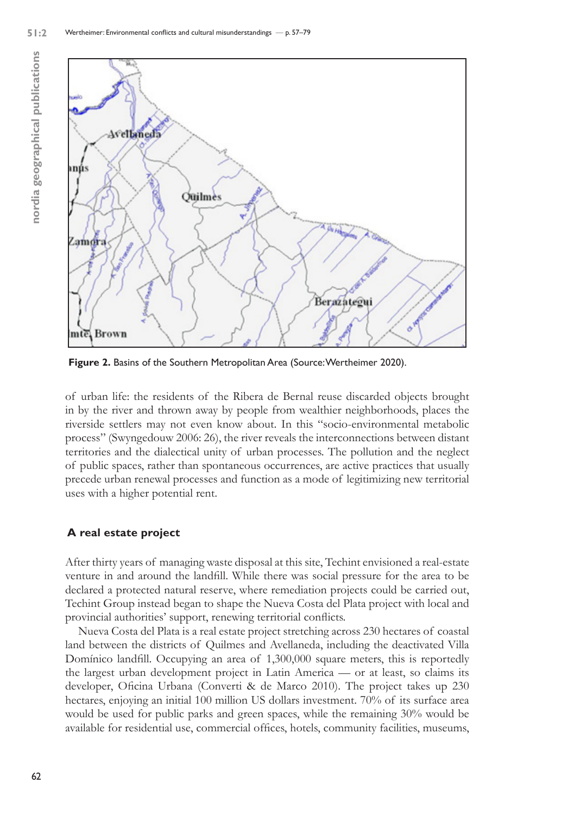

**Figure 2.** Basins of the Southern Metropolitan Area (Source: Wertheimer 2020).

of urban life: the residents of the Ribera de Bernal reuse discarded objects brought in by the river and thrown away by people from wealthier neighborhoods, places the riverside settlers may not even know about. In this "socio-environmental metabolic process" (Swyngedouw 2006: 26), the river reveals the interconnections between distant territories and the dialectical unity of urban processes. The pollution and the neglect of public spaces, rather than spontaneous occurrences, are active practices that usually precede urban renewal processes and function as a mode of legitimizing new territorial uses with a higher potential rent.

#### **A real estate project**

After thirty years of managing waste disposal at this site, Techint envisioned a real-estate venture in and around the landfill. While there was social pressure for the area to be declared a protected natural reserve, where remediation projects could be carried out, Techint Group instead began to shape the Nueva Costa del Plata project with local and provincial authorities' support, renewing territorial conflicts.

Nueva Costa del Plata is a real estate project stretching across 230 hectares of coastal land between the districts of Quilmes and Avellaneda, including the deactivated Villa Domínico landfill. Occupying an area of 1,300,000 square meters, this is reportedly the largest urban development project in Latin America — or at least, so claims its developer, Oficina Urbana (Converti & de Marco 2010). The project takes up 230 hectares, enjoying an initial 100 million US dollars investment. 70% of its surface area would be used for public parks and green spaces, while the remaining 30% would be available for residential use, commercial offices, hotels, community facilities, museums,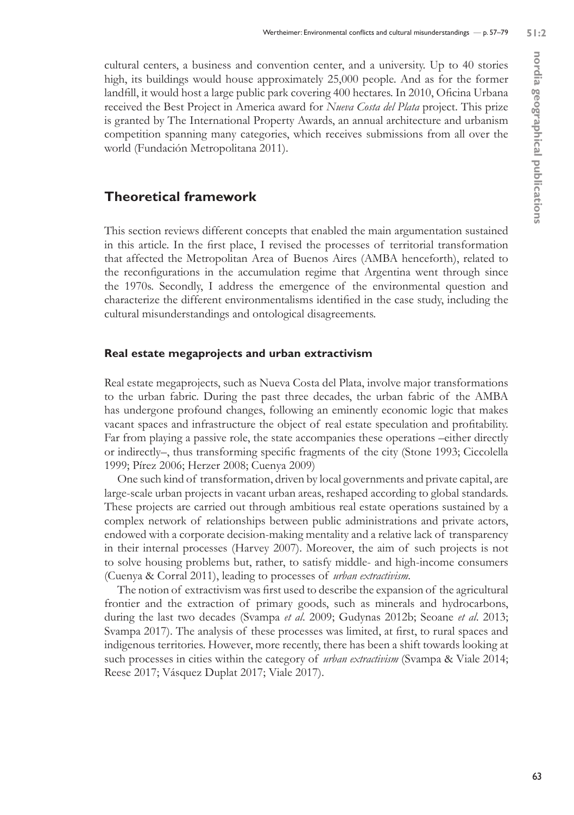cultural centers, a business and convention center, and a university. Up to 40 stories high, its buildings would house approximately 25,000 people. And as for the former landfill, it would host a large public park covering 400 hectares. In 2010, Oficina Urbana received the Best Project in America award for *Nueva Costa del Plata* project. This prize is granted by The International Property Awards, an annual architecture and urbanism competition spanning many categories, which receives submissions from all over the world (Fundación Metropolitana 2011).

# **Theoretical framework**

This section reviews different concepts that enabled the main argumentation sustained in this article. In the first place, I revised the processes of territorial transformation that affected the Metropolitan Area of Buenos Aires (AMBA henceforth), related to the reconfigurations in the accumulation regime that Argentina went through since the 1970s. Secondly, I address the emergence of the environmental question and characterize the different environmentalisms identified in the case study, including the cultural misunderstandings and ontological disagreements.

#### **Real estate megaprojects and urban extractivism**

Real estate megaprojects, such as Nueva Costa del Plata, involve major transformations to the urban fabric. During the past three decades, the urban fabric of the AMBA has undergone profound changes, following an eminently economic logic that makes vacant spaces and infrastructure the object of real estate speculation and profitability. Far from playing a passive role, the state accompanies these operations –either directly or indirectly–, thus transforming specific fragments of the city (Stone 1993; Ciccolella 1999; Pírez 2006; Herzer 2008; Cuenya 2009)

One such kind of transformation, driven by local governments and private capital, are large-scale urban projects in vacant urban areas, reshaped according to global standards. These projects are carried out through ambitious real estate operations sustained by a complex network of relationships between public administrations and private actors, endowed with a corporate decision-making mentality and a relative lack of transparency in their internal processes (Harvey 2007). Moreover, the aim of such projects is not to solve housing problems but, rather, to satisfy middle- and high-income consumers (Cuenya & Corral 2011), leading to processes of *urban extractivism.*

The notion of extractivism was first used to describe the expansion of the agricultural frontier and the extraction of primary goods, such as minerals and hydrocarbons, during the last two decades (Svampa *et al*. 2009; Gudynas 2012b; Seoane *et al*. 2013; Svampa 2017). The analysis of these processes was limited, at first, to rural spaces and indigenous territories. However, more recently, there has been a shift towards looking at such processes in cities within the category of *urban extractivism* (Svampa & Viale 2014; Reese 2017; Vásquez Duplat 2017; Viale 2017).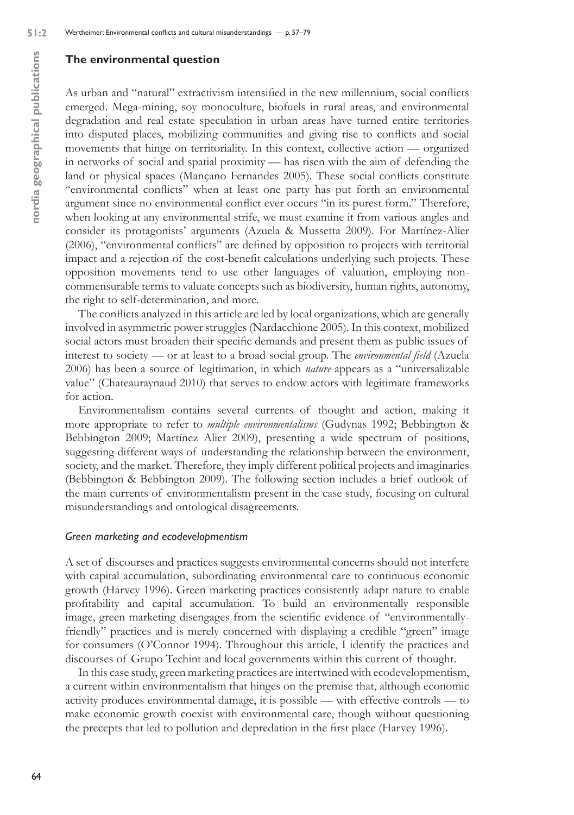### **The environmental question**

As urban and "natural" extractivism intensified in the new millennium, social conflicts emerged. Mega-mining, soy monoculture, biofuels in rural areas, and environmental degradation and real estate speculation in urban areas have turned entire territories into disputed places, mobilizing communities and giving rise to conflicts and social movements that hinge on territoriality. In this context, collective action — organized in networks of social and spatial proximity — has risen with the aim of defending the land or physical spaces (Mançano Fernandes 2005). These social conflicts constitute "environmental conflicts" when at least one party has put forth an environmental argument since no environmental conflict ever occurs "in its purest form." Therefore, when looking at any environmental strife, we must examine it from various angles and consider its protagonists' arguments (Azuela & Mussetta 2009). For Martínez-Alier (2006), "environmental conflicts" are defined by opposition to projects with territorial impact and a rejection of the cost-benefit calculations underlying such projects. These opposition movements tend to use other languages of valuation, employing noncommensurable terms to valuate concepts such as biodiversity, human rights, autonomy, the right to self-determination, and more.

The conflicts analyzed in this article are led by local organizations, which are generally involved in asymmetric power struggles (Nardacchione 2005). In this context, mobilized social actors must broaden their specific demands and present them as public issues of interest to society — or at least to a broad social group. The *environmental field* (Azuela 2006) has been a source of legitimation, in which *nature* appears as a "universalizable value" (Chateauraynaud 2010) that serves to endow actors with legitimate frameworks for action.

Environmentalism contains several currents of thought and action, making it more appropriate to refer to *multiple environmentalisms* (Gudynas 1992; Bebbington & Bebbington 2009; Martínez Alier 2009), presenting a wide spectrum of positions, suggesting different ways of understanding the relationship between the environment, society, and the market. Therefore, they imply different political projects and imaginaries (Bebbington & Bebbington 2009). The following section includes a brief outlook of the main currents of environmentalism present in the case study, focusing on cultural misunderstandings and ontological disagreements.

#### *Green marketing and ecodevelopmentism*

A set of discourses and practices suggests environmental concerns should not interfere with capital accumulation, subordinating environmental care to continuous economic growth (Harvey 1996). Green marketing practices consistently adapt nature to enable profitability and capital accumulation. To build an environmentally responsible image, green marketing disengages from the scientific evidence of "environmentallyfriendly" practices and is merely concerned with displaying a credible "green" image for consumers (O'Connor 1994). Throughout this article, I identify the practices and discourses of Grupo Techint and local governments within this current of thought.

In this case study, green marketing practices are intertwined with ecodevelopmentism, a current within environmentalism that hinges on the premise that, although economic activity produces environmental damage, it is possible — with effective controls — to make economic growth coexist with environmental care, though without questioning the precepts that led to pollution and depredation in the first place (Harvey 1996).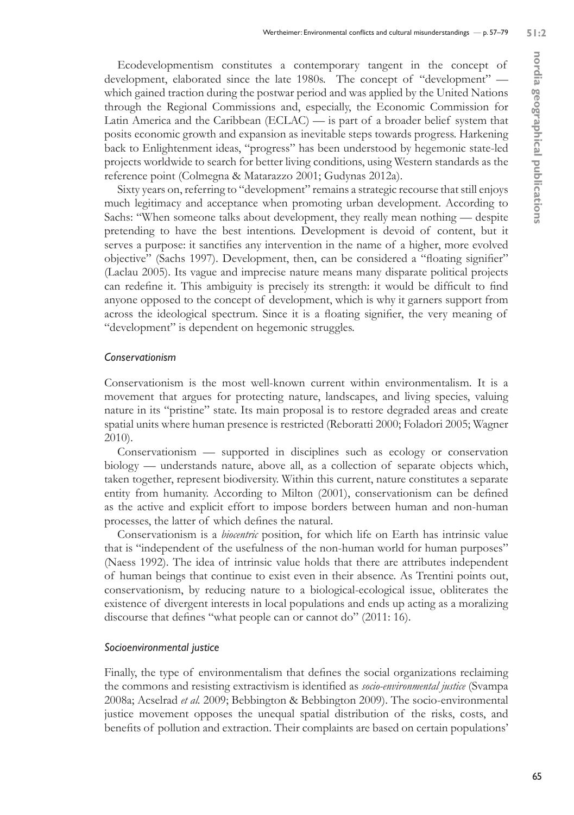Ecodevelopmentism constitutes a contemporary tangent in the concept of development, elaborated since the late 1980s. The concept of "development" which gained traction during the postwar period and was applied by the United Nations through the Regional Commissions and, especially, the Economic Commission for Latin America and the Caribbean (ECLAC) — is part of a broader belief system that posits economic growth and expansion as inevitable steps towards progress. Harkening back to Enlightenment ideas, "progress" has been understood by hegemonic state-led projects worldwide to search for better living conditions, using Western standards as the reference point (Colmegna & Matarazzo 2001; Gudynas 2012a).

Sixty years on, referring to "development" remains a strategic recourse that still enjoys much legitimacy and acceptance when promoting urban development. According to Sachs: "When someone talks about development, they really mean nothing — despite pretending to have the best intentions. Development is devoid of content, but it serves a purpose: it sanctifies any intervention in the name of a higher, more evolved objective" (Sachs 1997). Development, then, can be considered a "floating signifier" (Laclau 2005). Its vague and imprecise nature means many disparate political projects can redefine it. This ambiguity is precisely its strength: it would be difficult to find anyone opposed to the concept of development, which is why it garners support from across the ideological spectrum. Since it is a floating signifier, the very meaning of "development" is dependent on hegemonic struggles.

# *Conservationism*

Conservationism is the most well-known current within environmentalism. It is a movement that argues for protecting nature, landscapes, and living species, valuing nature in its "pristine" state. Its main proposal is to restore degraded areas and create spatial units where human presence is restricted (Reboratti 2000; Foladori 2005; Wagner 2010).

Conservationism — supported in disciplines such as ecology or conservation biology — understands nature, above all, as a collection of separate objects which, taken together, represent biodiversity. Within this current, nature constitutes a separate entity from humanity. According to Milton (2001), conservationism can be defined as the active and explicit effort to impose borders between human and non-human processes, the latter of which defines the natural.

Conservationism is a *biocentric* position, for which life on Earth has intrinsic value that is "independent of the usefulness of the non-human world for human purposes" (Naess 1992). The idea of intrinsic value holds that there are attributes independent of human beings that continue to exist even in their absence. As Trentini points out, conservationism, by reducing nature to a biological-ecological issue, obliterates the existence of divergent interests in local populations and ends up acting as a moralizing discourse that defines "what people can or cannot do" (2011: 16).

# *Socioenvironmental justice*

Finally, the type of environmentalism that defines the social organizations reclaiming the commons and resisting extractivism is identified as *socio-environmental justice* (Svampa 2008a; Acselrad *et al.* 2009; Bebbington & Bebbington 2009). The socio-environmental justice movement opposes the unequal spatial distribution of the risks, costs, and benefits of pollution and extraction. Their complaints are based on certain populations'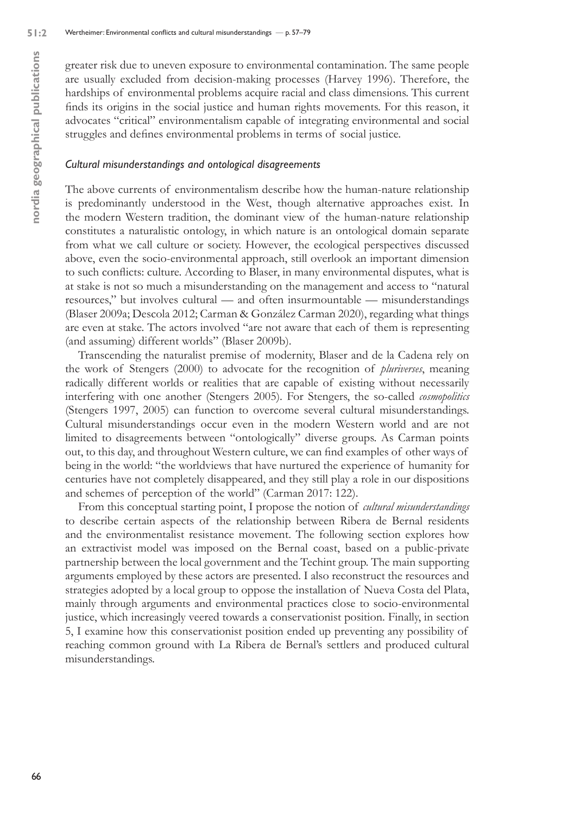greater risk due to uneven exposure to environmental contamination. The same people are usually excluded from decision-making processes (Harvey 1996). Therefore, the hardships of environmental problems acquire racial and class dimensions. This current finds its origins in the social justice and human rights movements. For this reason, it advocates "critical" environmentalism capable of integrating environmental and social struggles and defines environmental problems in terms of social justice.

#### *Cultural misunderstandings and ontological disagreements*

The above currents of environmentalism describe how the human-nature relationship is predominantly understood in the West, though alternative approaches exist. In the modern Western tradition, the dominant view of the human-nature relationship constitutes a naturalistic ontology, in which nature is an ontological domain separate from what we call culture or society. However, the ecological perspectives discussed above, even the socio-environmental approach, still overlook an important dimension to such conflicts: culture. According to Blaser, in many environmental disputes, what is at stake is not so much a misunderstanding on the management and access to "natural resources," but involves cultural — and often insurmountable — misunderstandings (Blaser 2009a; Descola 2012; Carman & González Carman 2020), regarding what things are even at stake. The actors involved "are not aware that each of them is representing (and assuming) different worlds" (Blaser 2009b).

Transcending the naturalist premise of modernity, Blaser and de la Cadena rely on the work of Stengers (2000) to advocate for the recognition of *pluriverses*, meaning radically different worlds or realities that are capable of existing without necessarily interfering with one another (Stengers 2005). For Stengers, the so-called *cosmopolitics* (Stengers 1997, 2005) can function to overcome several cultural misunderstandings. Cultural misunderstandings occur even in the modern Western world and are not limited to disagreements between "ontologically" diverse groups. As Carman points out, to this day, and throughout Western culture, we can find examples of other ways of being in the world: "the worldviews that have nurtured the experience of humanity for centuries have not completely disappeared, and they still play a role in our dispositions and schemes of perception of the world" (Carman 2017: 122).

From this conceptual starting point, I propose the notion of *cultural misunderstandings* to describe certain aspects of the relationship between Ribera de Bernal residents and the environmentalist resistance movement. The following section explores how an extractivist model was imposed on the Bernal coast, based on a public-private partnership between the local government and the Techint group. The main supporting arguments employed by these actors are presented. I also reconstruct the resources and strategies adopted by a local group to oppose the installation of Nueva Costa del Plata, mainly through arguments and environmental practices close to socio-environmental justice, which increasingly veered towards a conservationist position. Finally, in section 5, I examine how this conservationist position ended up preventing any possibility of reaching common ground with La Ribera de Bernal's settlers and produced cultural misunderstandings.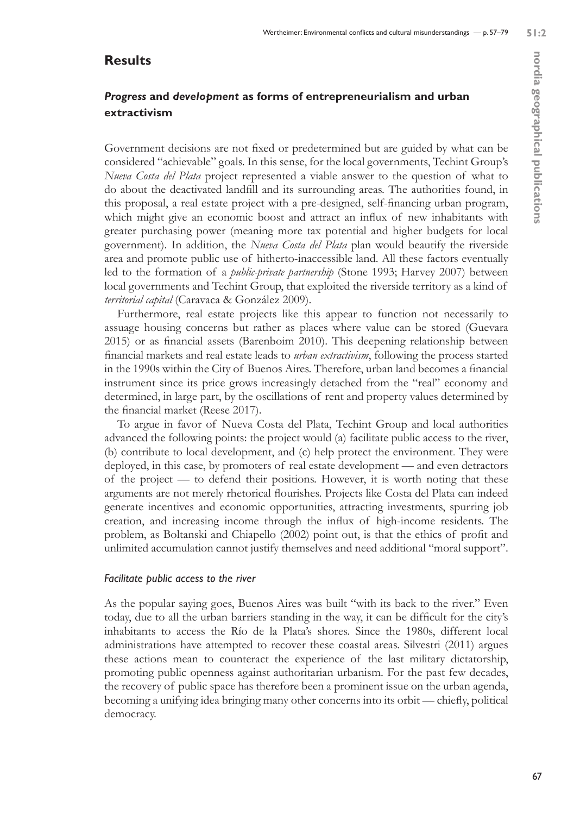# **Results**

# *Progress* **and** *development* **as forms of entrepreneurialism and urban extractivism**

Government decisions are not fixed or predetermined but are guided by what can be considered "achievable" goals. In this sense, for the local governments, Techint Group's *Nueva Costa del Plata* project represented a viable answer to the question of what to do about the deactivated landfill and its surrounding areas. The authorities found, in this proposal, a real estate project with a pre-designed, self-financing urban program, which might give an economic boost and attract an influx of new inhabitants with greater purchasing power (meaning more tax potential and higher budgets for local government). In addition, the *Nueva Costa del Plata* plan would beautify the riverside area and promote public use of hitherto-inaccessible land. All these factors eventually led to the formation of a *public-private partnership* (Stone 1993; Harvey 2007) between local governments and Techint Group, that exploited the riverside territory as a kind of *territorial capital* (Caravaca & González 2009).

Furthermore, real estate projects like this appear to function not necessarily to assuage housing concerns but rather as places where value can be stored (Guevara 2015) or as financial assets (Barenboim 2010). This deepening relationship between financial markets and real estate leads to *urban extractivism*, following the process started in the 1990s within the City of Buenos Aires. Therefore, urban land becomes a financial instrument since its price grows increasingly detached from the "real" economy and determined, in large part, by the oscillations of rent and property values determined by the financial market (Reese 2017).

To argue in favor of Nueva Costa del Plata, Techint Group and local authorities advanced the following points: the project would (a) facilitate public access to the river, (b) contribute to local development, and (c) help protect the environment. They were deployed, in this case, by promoters of real estate development — and even detractors of the project — to defend their positions. However, it is worth noting that these arguments are not merely rhetorical flourishes. Projects like Costa del Plata can indeed generate incentives and economic opportunities, attracting investments, spurring job creation, and increasing income through the influx of high-income residents. The problem, as Boltanski and Chiapello (2002) point out, is that the ethics of profit and unlimited accumulation cannot justify themselves and need additional "moral support".

#### *Facilitate public access to the river*

As the popular saying goes, Buenos Aires was built "with its back to the river." Even today, due to all the urban barriers standing in the way, it can be difficult for the city's inhabitants to access the Río de la Plata's shores. Since the 1980s, different local administrations have attempted to recover these coastal areas. Silvestri (2011) argues these actions mean to counteract the experience of the last military dictatorship, promoting public openness against authoritarian urbanism. For the past few decades, the recovery of public space has therefore been a prominent issue on the urban agenda, becoming a unifying idea bringing many other concerns into its orbit — chiefly, political democracy.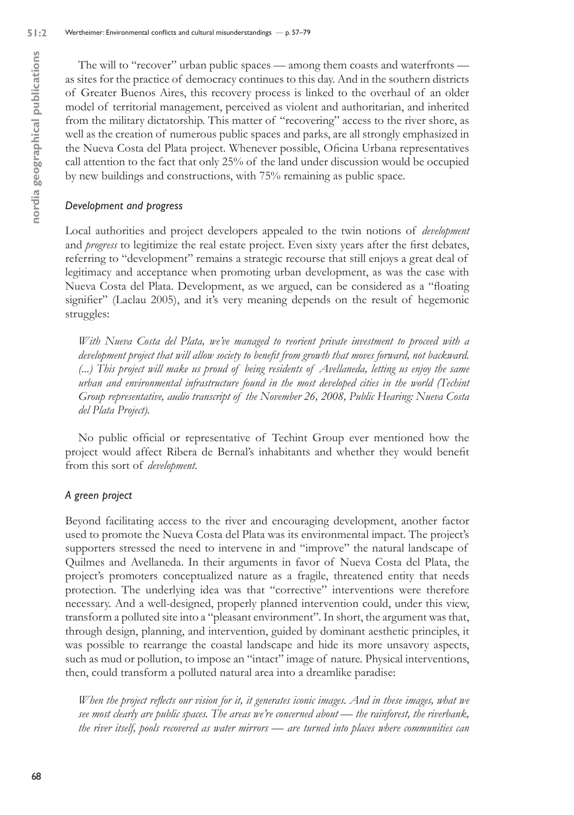The will to "recover" urban public spaces — among them coasts and waterfronts as sites for the practice of democracy continues to this day. And in the southern districts of Greater Buenos Aires, this recovery process is linked to the overhaul of an older model of territorial management, perceived as violent and authoritarian, and inherited from the military dictatorship. This matter of "recovering" access to the river shore, as well as the creation of numerous public spaces and parks, are all strongly emphasized in the Nueva Costa del Plata project. Whenever possible, Oficina Urbana representatives call attention to the fact that only 25% of the land under discussion would be occupied by new buildings and constructions, with 75% remaining as public space.

### *Development and progress*

Local authorities and project developers appealed to the twin notions of *development*  and *progress* to legitimize the real estate project. Even sixty years after the first debates, referring to "development" remains a strategic recourse that still enjoys a great deal of legitimacy and acceptance when promoting urban development, as was the case with Nueva Costa del Plata. Development, as we argued, can be considered as a "floating signifier" (Laclau 2005), and it's very meaning depends on the result of hegemonic struggles:

*With Nueva Costa del Plata, we've managed to reorient private investment to proceed with a development project that will allow society to benefit from growth that moves forward, not backward. (...) This project will make us proud of being residents of Avellaneda, letting us enjoy the same urban and environmental infrastructure found in the most developed cities in the world (Techint Group representative, audio transcript of the November 26, 2008, Public Hearing: Nueva Costa del Plata Project).*

No public official or representative of Techint Group ever mentioned how the project would affect Ribera de Bernal's inhabitants and whether they would benefit from this sort of *development*.

#### *A green project*

Beyond facilitating access to the river and encouraging development, another factor used to promote the Nueva Costa del Plata was its environmental impact. The project's supporters stressed the need to intervene in and "improve" the natural landscape of Quilmes and Avellaneda. In their arguments in favor of Nueva Costa del Plata, the project's promoters conceptualized nature as a fragile, threatened entity that needs protection. The underlying idea was that "corrective" interventions were therefore necessary. And a well-designed, properly planned intervention could, under this view, transform a polluted site into a "pleasant environment". In short, the argument was that, through design, planning, and intervention, guided by dominant aesthetic principles, it was possible to rearrange the coastal landscape and hide its more unsavory aspects, such as mud or pollution, to impose an "intact" image of nature. Physical interventions, then, could transform a polluted natural area into a dreamlike paradise:

*When the project reflects our vision for it, it generates iconic images. And in these images, what we see most clearly are public spaces. The areas we're concerned about — the rainforest, the riverbank, the river itself, pools recovered as water mirrors — are turned into places where communities can*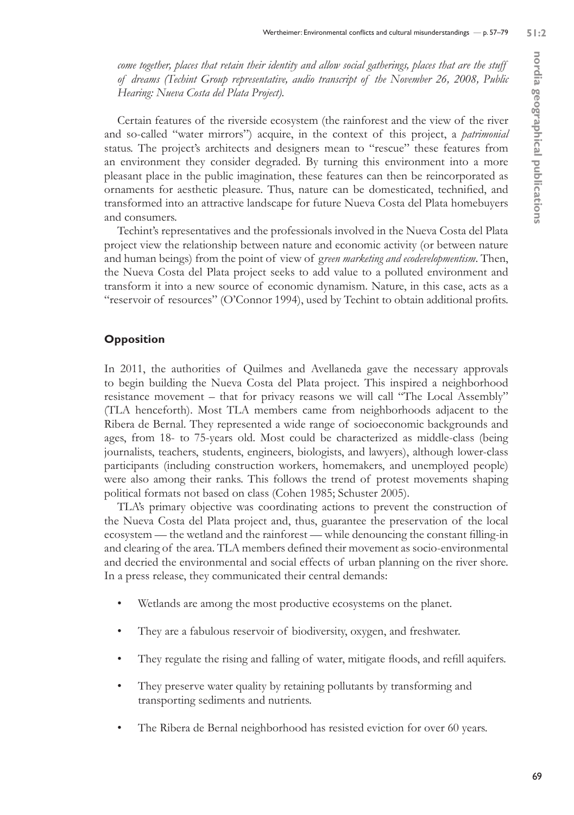*come together, places that retain their identity and allow social gatherings, places that are the stuff of dreams (Techint Group representative, audio transcript of the November 26, 2008, Public Hearing: Nueva Costa del Plata Project).*

Certain features of the riverside ecosystem (the rainforest and the view of the river and so-called "water mirrors") acquire, in the context of this project, a *patrimonial* status. The project's architects and designers mean to "rescue" these features from an environment they consider degraded. By turning this environment into a more pleasant place in the public imagination, these features can then be reincorporated as ornaments for aesthetic pleasure. Thus, nature can be domesticated, technified, and transformed into an attractive landscape for future Nueva Costa del Plata homebuyers and consumers.

Techint's representatives and the professionals involved in the Nueva Costa del Plata project view the relationship between nature and economic activity (or between nature and human beings) from the point of view of g*reen marketing and ecodevelopmentism*. Then, the Nueva Costa del Plata project seeks to add value to a polluted environment and transform it into a new source of economic dynamism. Nature, in this case, acts as a "reservoir of resources" (O'Connor 1994), used by Techint to obtain additional profits.

### **Opposition**

In 2011, the authorities of Quilmes and Avellaneda gave the necessary approvals to begin building the Nueva Costa del Plata project. This inspired a neighborhood resistance movement – that for privacy reasons we will call "The Local Assembly" (TLA henceforth). Most TLA members came from neighborhoods adjacent to the Ribera de Bernal. They represented a wide range of socioeconomic backgrounds and ages, from 18- to 75-years old. Most could be characterized as middle-class (being journalists, teachers, students, engineers, biologists, and lawyers), although lower-class participants (including construction workers, homemakers, and unemployed people) were also among their ranks. This follows the trend of protest movements shaping political formats not based on class (Cohen 1985; Schuster 2005).

TLA's primary objective was coordinating actions to prevent the construction of the Nueva Costa del Plata project and, thus, guarantee the preservation of the local ecosystem — the wetland and the rainforest — while denouncing the constant filling-in and clearing of the area. TLA members defined their movement as socio-environmental and decried the environmental and social effects of urban planning on the river shore. In a press release, they communicated their central demands:

- Wetlands are among the most productive ecosystems on the planet.
- They are a fabulous reservoir of biodiversity, oxygen, and freshwater.
- They regulate the rising and falling of water, mitigate floods, and refill aquifers.
- They preserve water quality by retaining pollutants by transforming and transporting sediments and nutrients.
- The Ribera de Bernal neighborhood has resisted eviction for over 60 years.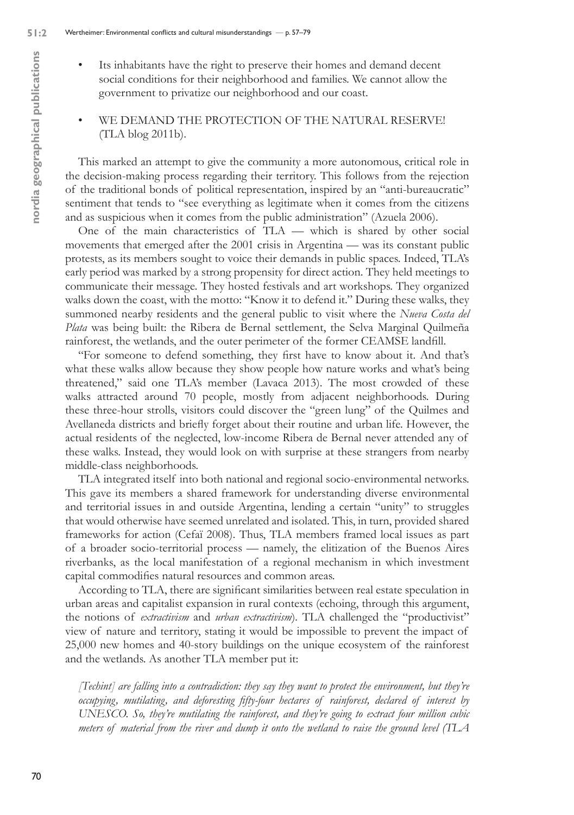- Its inhabitants have the right to preserve their homes and demand decent social conditions for their neighborhood and families. We cannot allow the government to privatize our neighborhood and our coast.
- WE DEMAND THE PROTECTION OF THE NATURAL RESERVE! (TLA blog 2011b).

This marked an attempt to give the community a more autonomous, critical role in the decision-making process regarding their territory. This follows from the rejection of the traditional bonds of political representation, inspired by an "anti-bureaucratic" sentiment that tends to "see everything as legitimate when it comes from the citizens and as suspicious when it comes from the public administration" (Azuela 2006).

One of the main characteristics of TLA — which is shared by other social movements that emerged after the 2001 crisis in Argentina — was its constant public protests, as its members sought to voice their demands in public spaces. Indeed, TLA's early period was marked by a strong propensity for direct action. They held meetings to communicate their message. They hosted festivals and art workshops. They organized walks down the coast, with the motto: "Know it to defend it." During these walks, they summoned nearby residents and the general public to visit where the *Nueva Costa del Plata* was being built: the Ribera de Bernal settlement, the Selva Marginal Quilmeña rainforest, the wetlands, and the outer perimeter of the former CEAMSE landfill.

"For someone to defend something, they first have to know about it. And that's what these walks allow because they show people how nature works and what's being threatened," said one TLA's member (Lavaca 2013). The most crowded of these walks attracted around 70 people, mostly from adjacent neighborhoods. During these three-hour strolls, visitors could discover the "green lung" of the Quilmes and Avellaneda districts and briefly forget about their routine and urban life. However, the actual residents of the neglected, low-income Ribera de Bernal never attended any of these walks. Instead, they would look on with surprise at these strangers from nearby middle-class neighborhoods.

TLA integrated itself into both national and regional socio-environmental networks. This gave its members a shared framework for understanding diverse environmental and territorial issues in and outside Argentina, lending a certain "unity" to struggles that would otherwise have seemed unrelated and isolated. This, in turn, provided shared frameworks for action (Cefaï 2008). Thus, TLA members framed local issues as part of a broader socio-territorial process — namely, the elitization of the Buenos Aires riverbanks, as the local manifestation of a regional mechanism in which investment capital commodifies natural resources and common areas.

According to TLA, there are significant similarities between real estate speculation in urban areas and capitalist expansion in rural contexts (echoing, through this argument, the notions of *extractivism* and *urban extractivism*)*.* TLA challenged the "productivist" view of nature and territory, stating it would be impossible to prevent the impact of 25,000 new homes and 40-story buildings on the unique ecosystem of the rainforest and the wetlands. As another TLA member put it:

*[Techint] are falling into a contradiction: they say they want to protect the environment, but they're occupying, mutilating, and deforesting fifty-four hectares of rainforest, declared of interest by UNESCO. So, they're mutilating the rainforest, and they're going to extract four million cubic meters of material from the river and dump it onto the wetland to raise the ground level (TLA*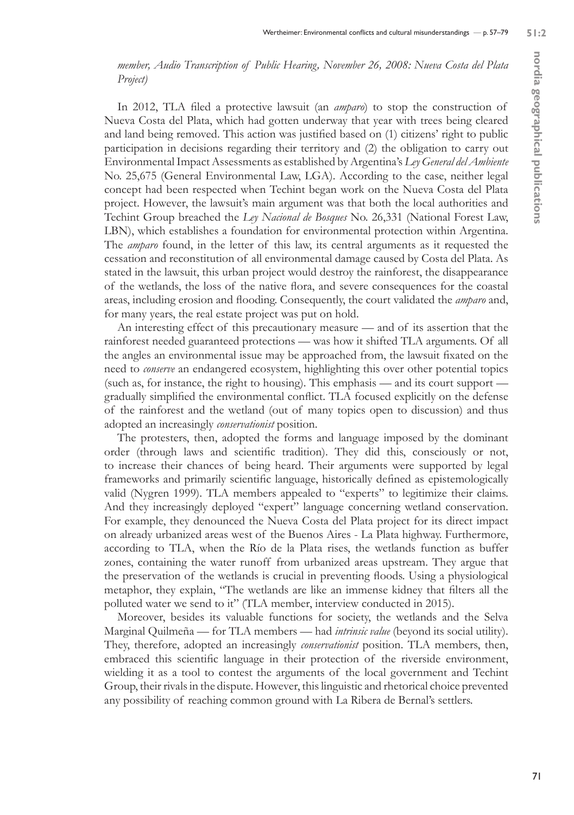*member, Audio Transcription of Public Hearing, November 26, 2008: Nueva Costa del Plata Project)*

In 2012, TLA filed a protective lawsuit (an *amparo*) to stop the construction of Nueva Costa del Plata, which had gotten underway that year with trees being cleared and land being removed. This action was justified based on (1) citizens' right to public participation in decisions regarding their territory and (2) the obligation to carry out Environmental Impact Assessments as established by Argentina's *Ley General del Ambiente* No. 25,675 (General Environmental Law, LGA). According to the case, neither legal concept had been respected when Techint began work on the Nueva Costa del Plata project. However, the lawsuit's main argument was that both the local authorities and Techint Group breached the *Ley Nacional de Bosques* No. 26,331 (National Forest Law, LBN), which establishes a foundation for environmental protection within Argentina. The *amparo* found, in the letter of this law, its central arguments as it requested the cessation and reconstitution of all environmental damage caused by Costa del Plata. As stated in the lawsuit, this urban project would destroy the rainforest, the disappearance of the wetlands, the loss of the native flora, and severe consequences for the coastal areas, including erosion and flooding. Consequently, the court validated the *amparo* and, for many years, the real estate project was put on hold.

An interesting effect of this precautionary measure — and of its assertion that the rainforest needed guaranteed protections — was how it shifted TLA arguments. Of all the angles an environmental issue may be approached from, the lawsuit fixated on the need to *conserve* an endangered ecosystem, highlighting this over other potential topics (such as, for instance, the right to housing). This emphasis — and its court support gradually simplified the environmental conflict. TLA focused explicitly on the defense of the rainforest and the wetland (out of many topics open to discussion) and thus adopted an increasingly *conservationist* position.

The protesters, then, adopted the forms and language imposed by the dominant order (through laws and scientific tradition). They did this, consciously or not, to increase their chances of being heard. Their arguments were supported by legal frameworks and primarily scientific language, historically defined as epistemologically valid (Nygren 1999). TLA members appealed to "experts" to legitimize their claims. And they increasingly deployed "expert" language concerning wetland conservation. For example, they denounced the Nueva Costa del Plata project for its direct impact on already urbanized areas west of the Buenos Aires - La Plata highway. Furthermore, according to TLA, when the Río de la Plata rises, the wetlands function as buffer zones, containing the water runoff from urbanized areas upstream. They argue that the preservation of the wetlands is crucial in preventing floods. Using a physiological metaphor, they explain, "The wetlands are like an immense kidney that filters all the polluted water we send to it" (TLA member, interview conducted in 2015).

Moreover, besides its valuable functions for society, the wetlands and the Selva Marginal Quilmeña — for TLA members — had *intrinsic value* (beyond its social utility). They, therefore, adopted an increasingly *conservationist* position. TLA members, then, embraced this scientific language in their protection of the riverside environment, wielding it as a tool to contest the arguments of the local government and Techint Group, their rivals in the dispute. However, this linguistic and rhetorical choice prevented any possibility of reaching common ground with La Ribera de Bernal's settlers.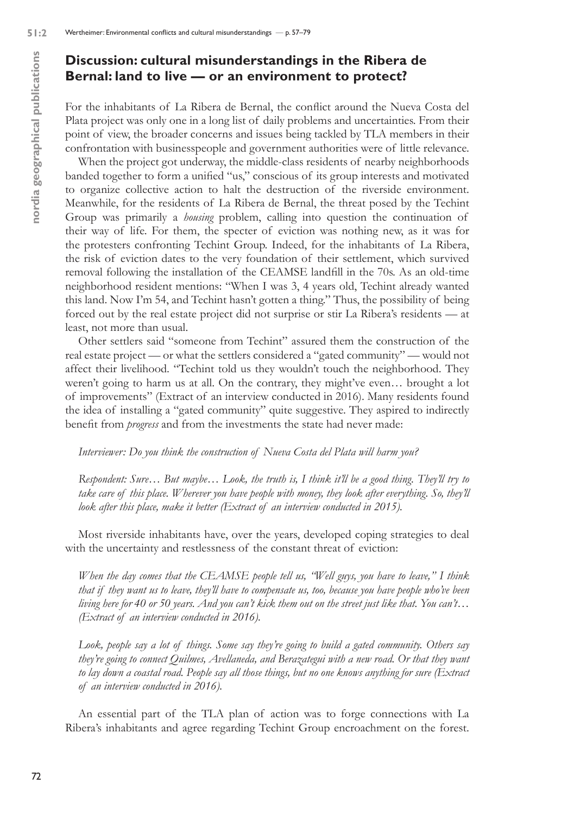# **Discussion: cultural misunderstandings in the Ribera de Bernal: land to live — or an environment to protect?**

For the inhabitants of La Ribera de Bernal, the conflict around the Nueva Costa del Plata project was only one in a long list of daily problems and uncertainties. From their point of view, the broader concerns and issues being tackled by TLA members in their confrontation with businesspeople and government authorities were of little relevance.

When the project got underway, the middle-class residents of nearby neighborhoods banded together to form a unified "us," conscious of its group interests and motivated to organize collective action to halt the destruction of the riverside environment. Meanwhile, for the residents of La Ribera de Bernal, the threat posed by the Techint Group was primarily a *housing* problem, calling into question the continuation of their way of life. For them, the specter of eviction was nothing new, as it was for the protesters confronting Techint Group. Indeed, for the inhabitants of La Ribera, the risk of eviction dates to the very foundation of their settlement, which survived removal following the installation of the CEAMSE landfill in the 70s. As an old-time neighborhood resident mentions: "When I was 3, 4 years old, Techint already wanted this land. Now I'm 54, and Techint hasn't gotten a thing." Thus, the possibility of being forced out by the real estate project did not surprise or stir La Ribera's residents — at least, not more than usual.

Other settlers said "someone from Techint" assured them the construction of the real estate project — or what the settlers considered a "gated community" — would not affect their livelihood. "Techint told us they wouldn't touch the neighborhood. They weren't going to harm us at all. On the contrary, they might've even… brought a lot of improvements" (Extract of an interview conducted in 2016). Many residents found the idea of installing a "gated community" quite suggestive. They aspired to indirectly benefit from *progress* and from the investments the state had never made:

#### *Interviewer: Do you think the construction of Nueva Costa del Plata will harm you?*

*Respondent: Sure… But maybe… Look, the truth is, I think it'll be a good thing. They'll try to take care of this place. Wherever you have people with money, they look after everything. So, they'll*  look after this place, make it better (Extract of an interview conducted in 2015).

Most riverside inhabitants have, over the years, developed coping strategies to deal with the uncertainty and restlessness of the constant threat of eviction:

*When the day comes that the CEAMSE people tell us, "Well guys, you have to leave," I think that if they want us to leave, they'll have to compensate us, too, because you have people who've been living here for 40 or 50 years. And you can't kick them out on the street just like that. You can't… (Extract of an interview conducted in 2016).*

*Look, people say a lot of things. Some say they're going to build a gated community. Others say they're going to connect Quilmes, Avellaneda, and Berazategui with a new road. Or that they want to lay down a coastal road. People say all those things, but no one knows anything for sure (Extract of an interview conducted in 2016).*

An essential part of the TLA plan of action was to forge connections with La Ribera's inhabitants and agree regarding Techint Group encroachment on the forest.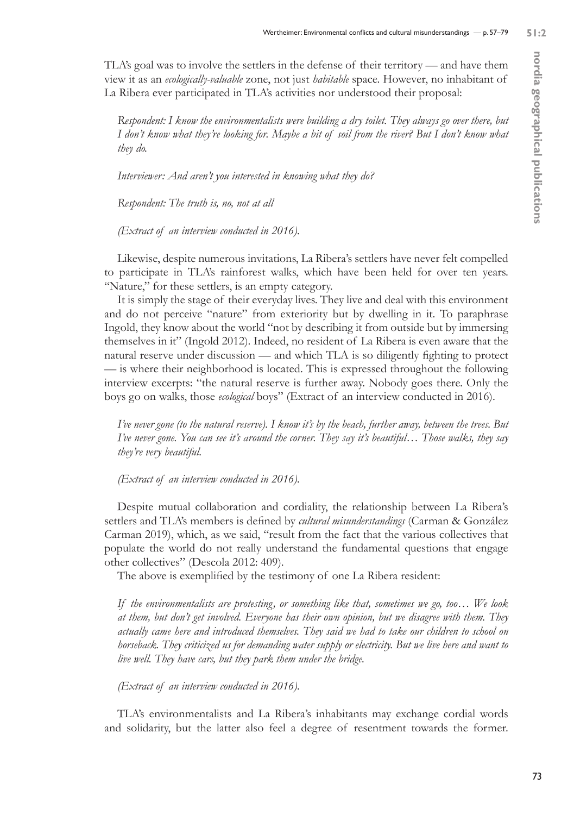TLA's goal was to involve the settlers in the defense of their territory — and have them view it as an *ecologically-valuable* zone, not just *habitable* space. However, no inhabitant of La Ribera ever participated in TLA's activities nor understood their proposal:

*Respondent: I know the environmentalists were building a dry toilet. They always go over there, but I don't know what they're looking for. Maybe a bit of soil from the river? But I don't know what they do.*

*Interviewer: And aren't you interested in knowing what they do?*

*Respondent: The truth is, no, not at all* 

*(Extract of an interview conducted in 2016).*

Likewise, despite numerous invitations, La Ribera's settlers have never felt compelled to participate in TLA's rainforest walks, which have been held for over ten years. "Nature," for these settlers, is an empty category.

It is simply the stage of their everyday lives. They live and deal with this environment and do not perceive "nature" from exteriority but by dwelling in it. To paraphrase Ingold, they know about the world "not by describing it from outside but by immersing themselves in it" (Ingold 2012). Indeed, no resident of La Ribera is even aware that the natural reserve under discussion — and which TLA is so diligently fighting to protect — is where their neighborhood is located. This is expressed throughout the following interview excerpts: "the natural reserve is further away. Nobody goes there. Only the boys go on walks, those *ecological* boys" (Extract of an interview conducted in 2016).

*I've never gone (to the natural reserve). I know it's by the beach, further away, between the trees. But I've never gone. You can see it's around the corner. They say it's beautiful… Those walks, they say they're very beautiful.* 

*(Extract of an interview conducted in 2016).*

Despite mutual collaboration and cordiality, the relationship between La Ribera's settlers and TLA's members is defined by *cultural misunderstandings* (Carman & González Carman 2019), which, as we said, "result from the fact that the various collectives that populate the world do not really understand the fundamental questions that engage other collectives" (Descola 2012: 409).

The above is exemplified by the testimony of one La Ribera resident:

*If the environmentalists are protesting, or something like that, sometimes we go, too… We look at them, but don't get involved. Everyone has their own opinion, but we disagree with them. They actually came here and introduced themselves. They said we had to take our children to school on horseback. They criticized us for demanding water supply or electricity. But we live here and want to live well. They have cars, but they park them under the bridge.* 

*(Extract of an interview conducted in 2016).*

TLA's environmentalists and La Ribera's inhabitants may exchange cordial words and solidarity, but the latter also feel a degree of resentment towards the former.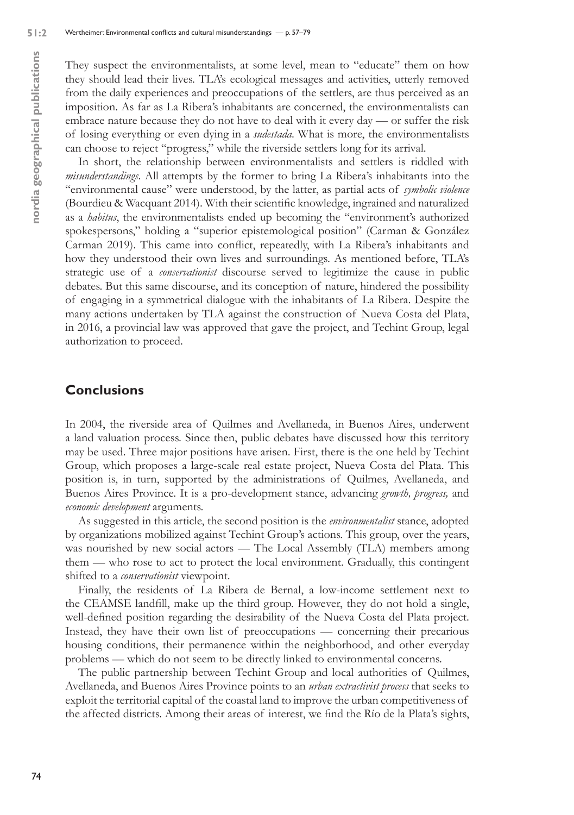They suspect the environmentalists, at some level, mean to "educate" them on how they should lead their lives. TLA's ecological messages and activities, utterly removed from the daily experiences and preoccupations of the settlers, are thus perceived as an imposition. As far as La Ribera's inhabitants are concerned, the environmentalists can embrace nature because they do not have to deal with it every day — or suffer the risk of losing everything or even dying in a *sudestada*. What is more, the environmentalists can choose to reject "progress," while the riverside settlers long for its arrival.

In short, the relationship between environmentalists and settlers is riddled with *misunderstandings*. All attempts by the former to bring La Ribera's inhabitants into the "environmental cause" were understood, by the latter, as partial acts of *symbolic violence*  (Bourdieu & Wacquant 2014). With their scientific knowledge, ingrained and naturalized as a *habitus*, the environmentalists ended up becoming the "environment's authorized spokespersons," holding a "superior epistemological position" (Carman & González Carman 2019). This came into conflict, repeatedly, with La Ribera's inhabitants and how they understood their own lives and surroundings. As mentioned before, TLA's strategic use of a *conservationist* discourse served to legitimize the cause in public debates. But this same discourse, and its conception of nature, hindered the possibility of engaging in a symmetrical dialogue with the inhabitants of La Ribera. Despite the many actions undertaken by TLA against the construction of Nueva Costa del Plata, in 2016, a provincial law was approved that gave the project, and Techint Group, legal authorization to proceed.

# **Conclusions**

In 2004, the riverside area of Quilmes and Avellaneda, in Buenos Aires, underwent a land valuation process. Since then, public debates have discussed how this territory may be used. Three major positions have arisen. First, there is the one held by Techint Group, which proposes a large-scale real estate project, Nueva Costa del Plata. This position is, in turn, supported by the administrations of Quilmes, Avellaneda, and Buenos Aires Province. It is a pro-development stance, advancing *growth, progress,* and *economic development* arguments.

As suggested in this article, the second position is the *environmentalist* stance, adopted by organizations mobilized against Techint Group's actions. This group, over the years, was nourished by new social actors — The Local Assembly (TLA) members among them — who rose to act to protect the local environment. Gradually, this contingent shifted to a *conservationist* viewpoint.

Finally, the residents of La Ribera de Bernal, a low-income settlement next to the CEAMSE landfill, make up the third group. However, they do not hold a single, well-defined position regarding the desirability of the Nueva Costa del Plata project. Instead, they have their own list of preoccupations — concerning their precarious housing conditions, their permanence within the neighborhood, and other everyday problems — which do not seem to be directly linked to environmental concerns.

The public partnership between Techint Group and local authorities of Quilmes, Avellaneda, and Buenos Aires Province points to an *urban extractivist process* that seeks to exploit the territorial capital of the coastal land to improve the urban competitiveness of the affected districts. Among their areas of interest, we find the Río de la Plata's sights,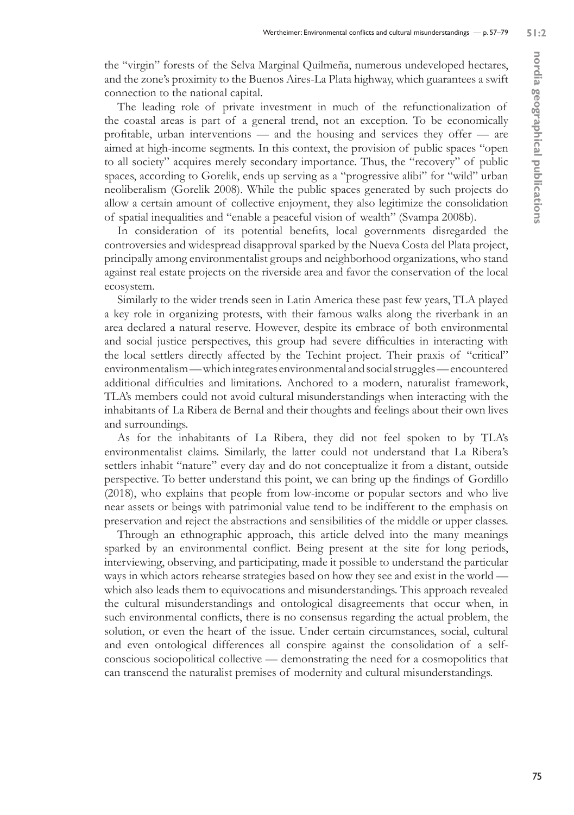the "virgin" forests of the Selva Marginal Quilmeña, numerous undeveloped hectares, and the zone's proximity to the Buenos Aires-La Plata highway, which guarantees a swift connection to the national capital.

The leading role of private investment in much of the refunctionalization of the coastal areas is part of a general trend, not an exception. To be economically profitable, urban interventions — and the housing and services they offer — are aimed at high-income segments. In this context, the provision of public spaces "open to all society" acquires merely secondary importance. Thus, the "recovery" of public spaces, according to Gorelik, ends up serving as a "progressive alibi" for "wild" urban neoliberalism (Gorelik 2008). While the public spaces generated by such projects do allow a certain amount of collective enjoyment, they also legitimize the consolidation of spatial inequalities and "enable a peaceful vision of wealth" (Svampa 2008b).

In consideration of its potential benefits, local governments disregarded the controversies and widespread disapproval sparked by the Nueva Costa del Plata project, principally among environmentalist groups and neighborhood organizations, who stand against real estate projects on the riverside area and favor the conservation of the local ecosystem.

Similarly to the wider trends seen in Latin America these past few years, TLA played a key role in organizing protests, with their famous walks along the riverbank in an area declared a natural reserve. However, despite its embrace of both environmental and social justice perspectives, this group had severe difficulties in interacting with the local settlers directly affected by the Techint project. Their praxis of "critical" environmentalism — which integrates environmental and social struggles — encountered additional difficulties and limitations. Anchored to a modern, naturalist framework, TLA's members could not avoid cultural misunderstandings when interacting with the inhabitants of La Ribera de Bernal and their thoughts and feelings about their own lives and surroundings.

As for the inhabitants of La Ribera, they did not feel spoken to by TLA's environmentalist claims. Similarly, the latter could not understand that La Ribera's settlers inhabit "nature" every day and do not conceptualize it from a distant, outside perspective. To better understand this point, we can bring up the findings of Gordillo (2018), who explains that people from low-income or popular sectors and who live near assets or beings with patrimonial value tend to be indifferent to the emphasis on preservation and reject the abstractions and sensibilities of the middle or upper classes.

Through an ethnographic approach, this article delved into the many meanings sparked by an environmental conflict. Being present at the site for long periods, interviewing, observing, and participating, made it possible to understand the particular ways in which actors rehearse strategies based on how they see and exist in the world which also leads them to equivocations and misunderstandings. This approach revealed the cultural misunderstandings and ontological disagreements that occur when, in such environmental conflicts, there is no consensus regarding the actual problem, the solution, or even the heart of the issue. Under certain circumstances, social, cultural and even ontological differences all conspire against the consolidation of a selfconscious sociopolitical collective — demonstrating the need for a cosmopolitics that can transcend the naturalist premises of modernity and cultural misunderstandings.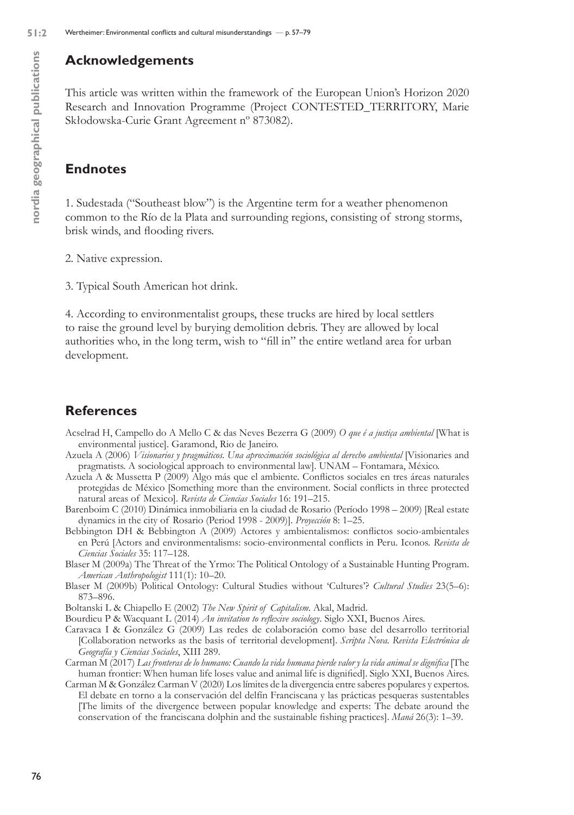# **Acknowledgements**

This article was written within the framework of the European Union's Horizon 2020 Research and Innovation Programme (Project CONTESTED\_TERRITORY, Marie Skłodowska-Curie Grant Agreement nº 873082).

# **Endnotes**

1. Sudestada ("Southeast blow") is the Argentine term for a weather phenomenon common to the Río de la Plata and surrounding regions, consisting of strong storms, brisk winds, and flooding rivers.

2. Native expression.

3. Typical South American hot drink.

4. According to environmentalist groups, these trucks are hired by local settlers to raise the ground level by burying demolition debris. They are allowed by local authorities who, in the long term, wish to "fill in" the entire wetland area for urban development.

# **References**

- Acselrad H, Campello do A Mello C & das Neves Bezerra G (2009) *O que é a justiça ambiental* [What is environmental justice]. Garamond, Rio de Janeiro.
- Azuela A (2006) *Visionarios y pragmáticos. Una aproximación sociológica al derecho ambiental* [Visionaries and pragmatists. A sociological approach to environmental law]. UNAM – Fontamara, México.
- Azuela A & Mussetta P (2009) Algo más que el ambiente. Conflictos sociales en tres áreas naturales protegidas de México [Something more than the environment. Social conflicts in three protected natural areas of Mexico]. *Revista de Ciencias Sociales* 16: 191–215.
- Barenboim C (2010) Dinámica inmobiliaria en la ciudad de Rosario (Período 1998 2009) [Real estate dynamics in the city of Rosario (Period 1998 - 2009)]. *Proyección* 8: 1–25.
- Bebbington DH & Bebbington A (2009) Actores y ambientalismos: conflictos socio-ambientales en Perú [Actors and environmentalisms: socio-environmental conflicts in Peru. Iconos. *Revista de Ciencias Sociales* 35: 117–128.
- Blaser M (2009a) The Threat of the Yrmo: The Political Ontology of a Sustainable Hunting Program. *American Anthropologist* 111(1): 10–20.
- Blaser M (2009b) Political Ontology: Cultural Studies without 'Cultures'? *Cultural Studies* 23(5–6): 873–896.
- Boltanski L & Chiapello E (2002) *The New Spirit of Capitalism*. Akal, Madrid.
- Bourdieu P & Wacquant L (2014) *An invitation to reflexive sociology*. Siglo XXI, Buenos Aires.
- Caravaca I & González G (2009) Las redes de colaboración como base del desarrollo territorial [Collaboration networks as the basis of territorial development]. *Scripta Nova. Revista Electrónica de Geografía y Ciencias Sociales*, XIII 289.
- Carman M (2017) *Las fronteras de lo humano: Cuando la vida humana pierde valor y la vida animal se dignifica* [The human frontier: When human life loses value and animal life is dignified]. Siglo XXI, Buenos Aires.
- Carman M & González Carman V (2020) Los límites de la divergencia entre saberes populares y expertos. El debate en torno a la conservación del delfín Franciscana y las prácticas pesqueras sustentables [The limits of the divergence between popular knowledge and experts: The debate around the conservation of the franciscana dolphin and the sustainable fishing practices]. *Maná* 26(3): 1–39.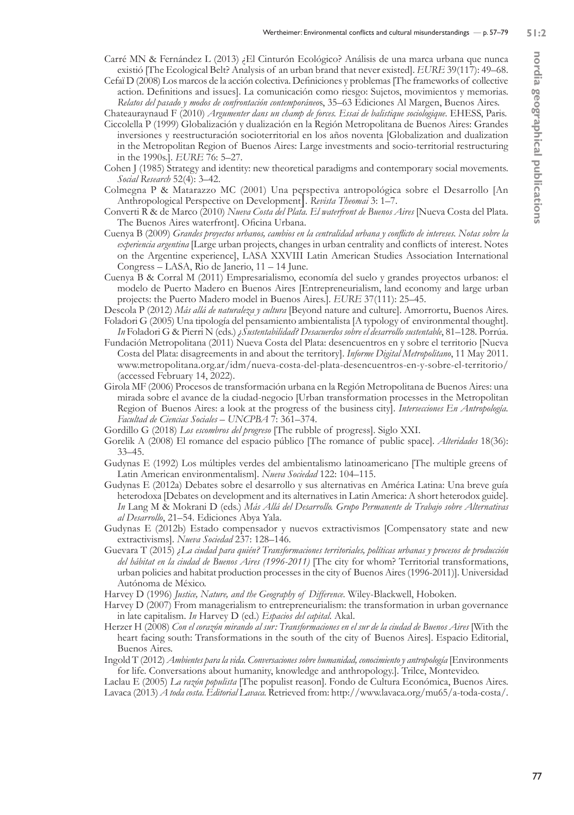- Carré MN & Fernández L (2013) ¿El Cinturón Ecológico? Análisis de una marca urbana que nunca existió [The Ecological Belt? Analysis of an urban brand that never existed]. *EURE* 39(117): 49–68.
- Cefaï D (2008) Los marcos de la acción colectiva. Definiciones y problemas [The frameworks of collective action. Definitions and issues]. La comunicación como riesgo: Sujetos, movimientos y memorias. *Relatos del pasado y modos de confrontación contemporáneo*s, 35–63 Ediciones Al Margen, Buenos Aires. Chateauraynaud F (2010) *Argumenter dans un champ de forces. Essai de balistique sociologique.* EHESS, Paris.
- Ciccolella P (1999) Globalización y dualización en la Región Metropolitana de Buenos Aires: Grandes inversiones y reestructuración socioterritorial en los años noventa [Globalization and dualization in the Metropolitan Region of Buenos Aires: Large investments and socio-territorial restructuring in the 1990s.]. *EURE* 76: 5–27.
- Cohen J (1985) Strategy and identity: new theoretical paradigms and contemporary social movements. *Social Research* 52(4): 3–42.
- Colmegna P & Matarazzo MC (2001) Una perspectiva antropológica sobre el Desarrollo [An Anthropological Perspective on Development]. *Revista Theomai* 3: 1–7.
- Converti R & de Marco (2010) *Nueva Costa del Plata. El waterfront de Buenos Aires* [Nueva Costa del Plata. The Buenos Aires waterfront]. Oficina Urbana.
- Cuenya B (2009) *Grandes proyectos urbanos, cambios en la centralidad urbana y conflicto de intereses. Notas sobre la experiencia argentina* [Large urban projects, changes in urban centrality and conflicts of interest. Notes on the Argentine experience], LASA XXVIII Latin American Studies Association International Congress – LASA, Rio de Janerio, 11 – 14 June.
- Cuenya B & Corral M (2011) Empresarialismo, economía del suelo y grandes proyectos urbanos: el modelo de Puerto Madero en Buenos Aires [Entrepreneurialism, land economy and large urban projects: the Puerto Madero model in Buenos Aires.]. *EURE* 37(111): 25–45.
- Descola P (2012) *Más allá de naturaleza y cultura* [Beyond nature and culture]. Amorrortu, Buenos Aires. Foladori G (2005) Una tipología del pensamiento ambientalista [A typology of environmental thought].
- *In* Foladori G & Pierri N (eds.) *¿Sustentabilidad? Desacuerdos sobre el desarrollo sustentable*, 81–128. Porrúa. Fundación Metropolitana (2011) Nueva Costa del Plata: desencuentros en y sobre el territorio [Nueva Costa del Plata: disagreements in and about the territory]. *Informe Digital Metropolitano*, 11 May 2011. www.metropolitana.org.ar/idm/nueva-costa-del-plata-desencuentros-en-y-sobre-el-territorio/ (accessed February 14, 2022).
- Girola MF (2006) Procesos de transformación urbana en la Región Metropolitana de Buenos Aires: una mirada sobre el avance de la ciudad-negocio [Urban transformation processes in the Metropolitan Region of Buenos Aires: a look at the progress of the business city]. *Intersecciones En Antropología. Facultad de Ciencias Sociales – UNCPBA* 7: 361–374.
- Gordillo G (2018) *Los escombros del progreso* [The rubble of progress]. Siglo XXI.
- Gorelik A (2008) El romance del espacio público [The romance of public space]. *Alteridades* 18(36): 33–45.
- Gudynas E (1992) Los múltiples verdes del ambientalismo latinoamericano [The multiple greens of Latin American environmentalism]. *Nueva Sociedad* 122: 104–115.
- Gudynas E (2012a) Debates sobre el desarrollo y sus alternativas en América Latina: Una breve guía heterodoxa [Debates on development and its alternatives in Latin America: A short heterodox guide]. *In* Lang M & Mokrani D (eds.) *Más Allá del Desarrollo. Grupo Permanente de Trabajo sobre Alternativas al Desarrollo*, 21–54. Ediciones Abya Yala.
- Gudynas E (2012b) Estado compensador y nuevos extractivismos [Compensatory state and new extractivisms]. *Nueva Sociedad* 237: 128–146.
- Guevara T (2015) *¿La ciudad para quién? Transformaciones territoriales, políticas urbanas y procesos de producción del hábitat en la ciudad de Buenos Aires (1996-2011)* [The city for whom? Territorial transformations, urban policies and habitat production processes in the city of Buenos Aires (1996-2011)]. Universidad Autónoma de México.
- Harvey D (1996) *Justice, Nature, and the Geography of Difference.* Wiley-Blackwell, Hoboken.
- Harvey D (2007) From managerialism to entrepreneurialism: the transformation in urban governance in late capitalism. *In* Harvey D (ed.) *Espacios del capital*. Akal.
- Herzer H (2008) *Con el corazón mirando al sur: Transformaciones en el sur de la ciudad de Buenos Aires* [With the heart facing south: Transformations in the south of the city of Buenos Aires]. Espacio Editorial, Buenos Aires.
- Ingold T (2012) *Ambientes para la vida. Conversaciones sobre humanidad, conocimiento y antropología* [Environments for life. Conversations about humanity, knowledge and anthropology.]. Trilce, Montevideo.

Laclau E (2005) *La razón populista* [The populist reason]. Fondo de Cultura Económica, Buenos Aires. Lavaca (2013) *A toda costa. Editorial Lavaca.* Retrieved from: http://www.lavaca.org/mu65/a-toda-costa/.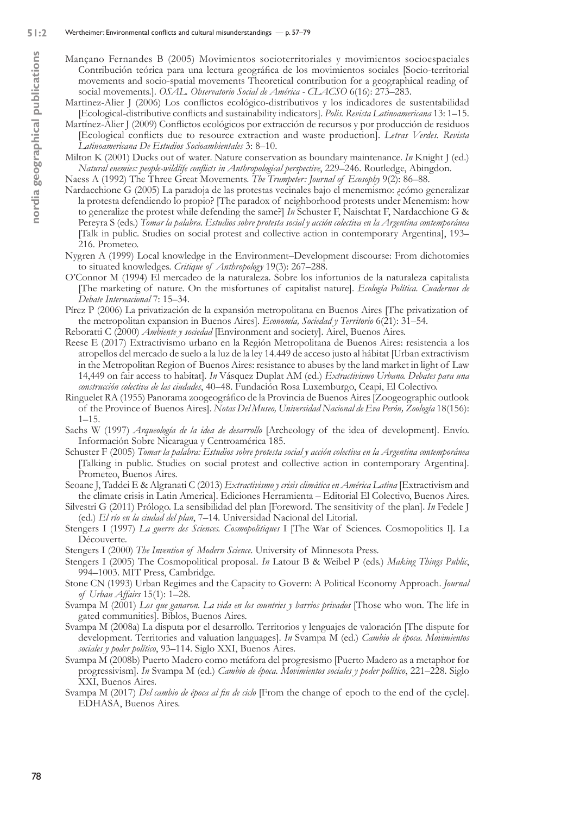- Mançano Fernandes B (2005) Movimientos socioterritoriales y movimientos socioespaciales Contribución teórica para una lectura geográfica de los movimientos sociales [Socio-territorial movements and socio-spatial movements Theoretical contribution for a geographical reading of social movements.]. *OSAL. Observatorio Social de América - CLACSO* 6(16): 273–283.
- Martinez-Alier J (2006) Los conflictos ecológico-distributivos y los indicadores de sustentabilidad [Ecological-distributive conflicts and sustainability indicators]. *Polis. Revista Latinoamericana* 13: 1–15.
- Martínez-Alier J (2009) Conflictos ecológicos por extracción de recursos y por producción de residuos [Ecological conflicts due to resource extraction and waste production]. *Letras Verdes. Revista Latinoamericana De Estudios Socioambientales* 3: 8–10.
- Milton K (2001) Ducks out of water. Nature conservation as boundary maintenance. *In* Knight J (ed.) *Natural enemies: people-wildlife conflicts in Anthropological perspective*, 229–246. Routledge, Abingdon.

Naess A (1992) The Three Great Movements. *The Trumpeter: Journal of Ecosophy* 9(2): 86–88.

- Nardacchione G (2005) La paradoja de las protestas vecinales bajo el menemismo: ¿cómo generalizar la protesta defendiendo lo propio? [The paradox of neighborhood protests under Menemism: how to generalize the protest while defending the same?] *In* Schuster F, Naischtat F, Nardacchione G & Pereyra S (eds.) *Tomar la palabra. Estudios sobre protesta social y acción colectiva en la Argentina contemporánea*  [Talk in public. Studies on social protest and collective action in contemporary Argentina], 193– 216. Prometeo.
- Nygren A (1999) Local knowledge in the Environment–Development discourse: From dichotomies to situated knowledges. *Critique of Anthropology* 19(3): 267–288.
- O'Connor M (1994) El mercadeo de la naturaleza. Sobre los infortunios de la naturaleza capitalista [The marketing of nature. On the misfortunes of capitalist nature]. *Ecología Política. Cuadernos de Debate Internacional* 7: 15–34.

Pírez P (2006) La privatización de la expansión metropolitana en Buenos Aires [The privatization of the metropolitan expansion in Buenos Aires]. *Economía, Sociedad y Territorio* 6(21): 31–54.

Reboratti C (2000) *Ambiente y sociedad* [Environment and society]. Airel, Buenos Aires.

- Reese E (2017) Extractivismo urbano en la Región Metropolitana de Buenos Aires: resistencia a los atropellos del mercado de suelo a la luz de la ley 14.449 de acceso justo al hábitat [Urban extractivism in the Metropolitan Region of Buenos Aires: resistance to abuses by the land market in light of Law 14,449 on fair access to habitat]. *In* Vásquez Duplat AM (ed.) *Extractivismo Urbano. Debates para una construcción colectiva de las ciudades*, 40–48. Fundación Rosa Luxemburgo, Ceapi, El Colectivo.
- Ringuelet RA (1955) Panorama zoogeográfico de la Provincia de Buenos Aires [Zoogeographic outlook of the Province of Buenos Aires]. *Notas Del Museo, Universidad Nacional de Eva Perón, Zoología* 18(156): 1–15.
- Sachs W (1997) *Arqueología de la idea de desarrollo* [Archeology of the idea of development]. Envío. Información Sobre Nicaragua y Centroamérica 185.
- Schuster F (2005) *Tomar la palabra: Estudios sobre protesta social y acción colectiva en la Argentina contemporánea*  [Talking in public. Studies on social protest and collective action in contemporary Argentina]. Prometeo, Buenos Aires.
- Seoane J, Taddei E & Algranati C (2013) *Extractivismo y crisis climática en América Latina* [Extractivism and the climate crisis in Latin America]. Ediciones Herramienta – Editorial El Colectivo, Buenos Aires.
- Silvestri G (2011) Prólogo. La sensibilidad del plan [Foreword. The sensitivity of the plan]. *In* Fedele J (ed.) *El río en la ciudad del plan*, 7–14. Universidad Nacional del Litorial.
- Stengers I (1997) *La guerre des Sciences. Cosmopolitiques* I [The War of Sciences. Cosmopolitics I]. La Découverte.

Stengers I (2000) *The Invention of Modern Science*. University of Minnesota Press.

- Stengers I (2005) The Cosmopolitical proposal. *In* Latour B & Weibel P (eds.) *Making Things Public*, 994–1003. MIT Press, Cambridge.
- Stone CN (1993) Urban Regimes and the Capacity to Govern: A Political Economy Approach. *Journal of Urban Affairs* 15(1): 1–28.
- Svampa M (2001) *Los que ganaron. La vida en los countries y barrios privados* [Those who won. The life in gated communities]. Biblos, Buenos Aires.
- Svampa M (2008a) La disputa por el desarrollo. Territorios y lenguajes de valoración [The dispute for development. Territories and valuation languages]. *In* Svampa M (ed.) *Cambio de época. Movimientos sociales y poder político*, 93–114. Siglo XXI, Buenos Aires.
- Svampa M (2008b) Puerto Madero como metáfora del progresismo [Puerto Madero as a metaphor for progressivism]. *In* Svampa M (ed.) *Cambio de época. Movimientos sociales y poder político*, 221–228. Siglo XXI, Buenos Aires.
- Svampa M (2017) *Del cambio de época al fin de ciclo* [From the change of epoch to the end of the cycle]. EDHASA, Buenos Aires.